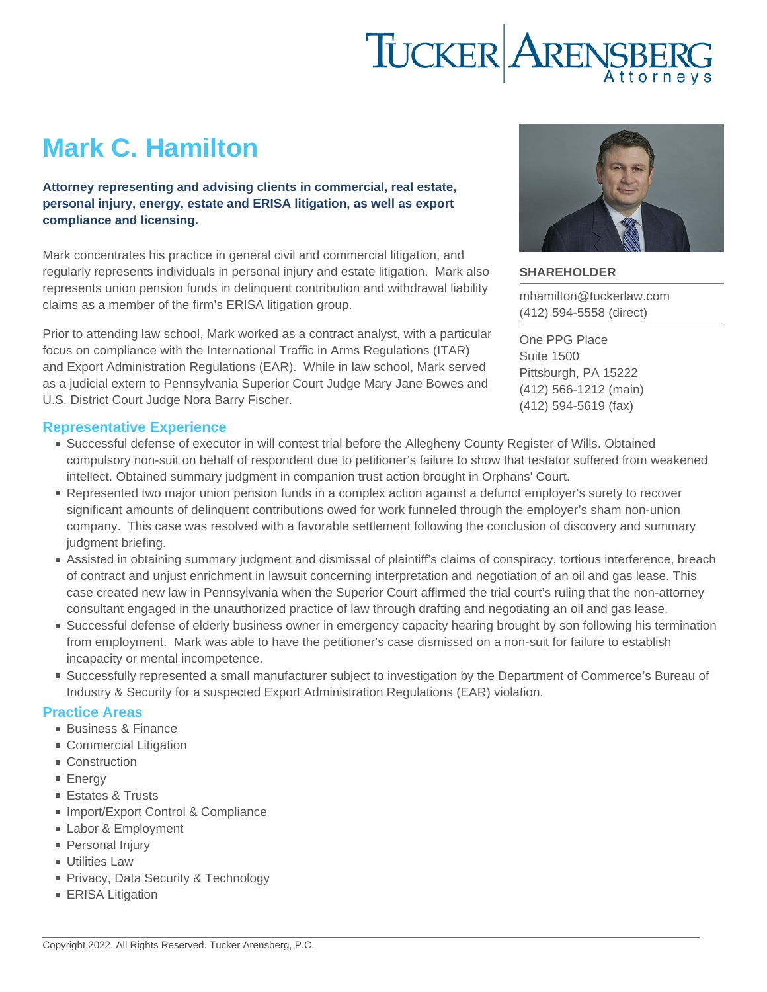# Mark C. Hamilton

Attorney representing and advising clients in commercial, real estate, personal injury, energy, estate and ERISA litigation, as well as export compliance and licensing.

Mark concentrates his practice in general civil and commercial litigation, and regularly represents individuals in personal injury and estate litigation. Mark also represents union pension funds in delinquent contribution and withdrawal liability claims as a member of the firm's ERISA litigation group.

Prior to attending law school, Mark worked as a contract analyst, with a particular focus on compliance with the International Traffic in Arms Regulations (ITAR) and Export Administration Regulations (EAR). While in law school, Mark served as a judicial extern to Pennsylvania Superior Court Judge Mary Jane Bowes and U.S. District Court Judge Nora Barry Fischer.

### Representative Experience

- Successful defense of executor in will contest trial before the Allegheny County Register of Wills. Obtained compulsory non-suit on behalf of respondent due to petitioner's failure to show that testator suffered from weakened intellect. Obtained summary judgment in companion trust action brought in Orphans' Court.
- Represented two major union pension funds in a complex action against a defunct employer's surety to recover significant amounts of delinquent contributions owed for work funneled through the employer's sham non-union company. This case was resolved with a favorable settlement following the conclusion of discovery and summary judgment briefing.
- Assisted in obtaining summary judgment and dismissal of plaintiff's claims of conspiracy, tortious interference, breach of contract and unjust enrichment in lawsuit concerning interpretation and negotiation of an oil and gas lease. This case created new law in Pennsylvania when the Superior Court affirmed the trial court's ruling that the non-attorney consultant engaged in the unauthorized practice of law through drafting and negotiating an oil and gas lease.
- Successful defense of elderly business owner in emergency capacity hearing brought by son following his termination from employment. Mark was able to have the petitioner's case dismissed on a non-suit for failure to establish incapacity or mental incompetence.
- Successfully represented a small manufacturer subject to investigation by the Department of Commerce's Bureau of Industry & Security for a suspected Export Administration Regulations (EAR) violation.

### Practice Areas

- [Business & Finance](https://www.tuckerlaw.com/practice-area/business-finance/)
- **[Commercial Litigation](https://www.tuckerlaw.com/practice-area/commercial-litigation/)**
- [Construction](https://www.tuckerlaw.com/practice-area/construction/)
- **[Energy](https://www.tuckerlaw.com/practice-area/energy-oil-gas-minerals/)**
- [Estates & Trusts](https://www.tuckerlaw.com/practice-area/estates-trusts-2/)
- [Import/Export Control & Compliance](https://www.tuckerlaw.com/practice-area/importexport-control-compliance/)
- [Labor & Employment](https://www.tuckerlaw.com/practice-area/labor-employment-law/)
- **[Personal Injury](https://www.tuckerlaw.com/practice-area/personal-injury/)**
- **[Utilities Law](https://www.tuckerlaw.com/practice-area/utilities-law/)**
- [Privacy, Data Security & Technology](https://www.tuckerlaw.com/practice-area/technology-data-security/)
- **[ERISA Litigation](https://www.tuckerlaw.com/practice-area/erisa-litigation/)**

### SHAREHOLDER

[mhamilton@tuckerlaw.com](mailto:mhamilton@tuckerlaw.com) [\(412\) 594-5558](tel:4125945558) [\(direct\)](tel:4125945558)

[One PPG Place](https://www.tuckerlaw.com/office/pittsburgh/) [Suite 1500](https://www.tuckerlaw.com/office/pittsburgh/) [Pittsburgh, PA](https://www.tuckerlaw.com/office/pittsburgh/) [15222](https://www.tuckerlaw.com/office/pittsburgh/) [\(412\) 566-1212](tel:4125661212) [\(main\)](tel:4125661212) [\(412\) 594-5619](tel:4125945619) [\(fax\)](tel:4125945619)